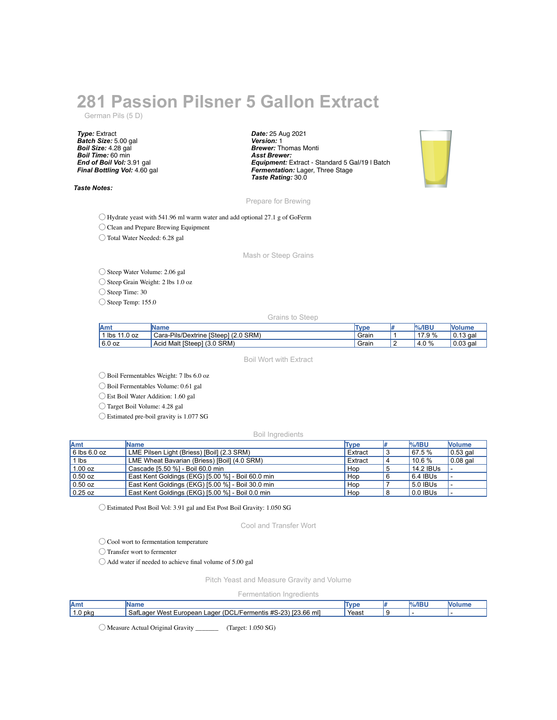## **281 Passion Pilsner 5 Gallon Extract**

German Pils (5 D)

*Type:* Extract *Batch Size:* 5.00 gal *Boil Size:* 4.28 gal *Boil Time:* 60 min *End of Boil Vol:* 3.91 gal *Final Bottling Vol:* 4.60 gal

*Taste Notes:*

*Date:* 25 Aug 2021 *Version:* 1 *Brewer:* Thomas Monti *Asst Brewer: Equipment:* Extract - Standard 5 Gal/19 l Batch *Fermentation:* Lager, Three Stage *Taste Rating:* 30.0



Prepare for Brewing

◯ Hydrate yeast with 541.96 ml warm water and add optional 27.1 g of GoFerm

◯ Clean and Prepare Brewing Equipment

◯ Total Water Needed: 6.28 gal

Mash or Steep Grains

◯ Steep Water Volume: 2.06 gal

◯ Steep Grain Weight: 2 lbs 1.0 oz

◯ Steep Time: 30

◯ Steep Temp: 155.0

Grains to Steep

| lAm            | 'Name                                | <b>Type</b> |   | $%$ /IBU     | <b>Nolume</b> |
|----------------|--------------------------------------|-------------|---|--------------|---------------|
| lbs<br>11.0 oz | Cara-Pils/Dextrine [Steep] (2.0 SRM) | Grain       |   | 17.9 %       | $0.13$ gal    |
| 6.0 oz         | Malt [Steep]<br>$(3.0$ SRM)<br>Acid  | Grain       | - | $0\%$<br>4.V | $0.03$ gal    |

Boil Wort with Extract

◯ Boil Fermentables Weight: 7 lbs 6.0 oz

◯ Boil Fermentables Volume: 0.61 gal

◯ Est Boil Water Addition: 1.60 gal

◯ Target Boil Volume: 4.28 gal

◯ Estimated pre-boil gravity is 1.077 SG

Boil Ingredients

| <b>Amt</b>       | Name                                              | Type    | <b>%/IBU</b> | <b>Nolume</b>    |
|------------------|---------------------------------------------------|---------|--------------|------------------|
| $6$ lbs $6.0$ oz | LME Pilsen Light (Briess) [Boil] (2.3 SRM)        | Extract | 67.5 %       | $\vert$ 0.53 gal |
| $1$ lbs          | LME Wheat Bavarian (Briess) [Boil] (4.0 SRM)      | Extract | $10.6\%$     | $0.08$ gal       |
| 1.00 oz          | Cascade [5.50 %] - Boil 60.0 min                  | Hop     | 14.2 IBUs    |                  |
| $0.50$ oz        | East Kent Goldings (EKG) [5.00 %] - Boil 60.0 min | Hop     | 6.4 IBUs     | . .              |
| $0.50$ oz        | East Kent Goldings (EKG) [5.00 %] - Boil 30.0 min | Hop     | 5.0 IBUs     |                  |
| $0.25$ oz        | East Kent Goldings (EKG) [5.00 %] - Boil 0.0 min  | Hop     | 0.0 IBUs     |                  |

◯ Estimated Post Boil Vol: 3.91 gal and Est Post Boil Gravity: 1.050 SG

Cool and Transfer Wort

◯ Cool wort to fermentation temperature

◯ Transfer wort to fermenter

◯ Add water if needed to achieve final volume of 5.00 gal

Pitch Yeast and Measure Gravity and Volume

Fermentation Ingredients

| Amւ    |                                                                                      |       | /IBU | M |
|--------|--------------------------------------------------------------------------------------|-------|------|---|
| .0 pka | (DCL/Fermentis<br>\$#S-23) [23.66 ml]<br>Safl<br>∟aɑer West '<br>∟ager ′<br>European | Yeast |      |   |

◯ Measure Actual Original Gravity \_\_\_\_\_\_\_ (Target: 1.050 SG)